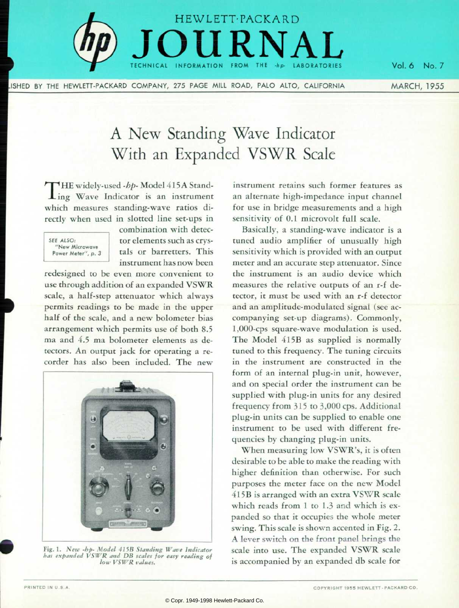

ISHED BY THE HEWLETT-PACKARD COMPANY, 275 PAGE MILL ROAD, PALO ALTO, CALIFORNIA

Vol. 6 No. 7  $\mathbb{R}^n \times \mathbb{R}^n$  . The set  $\mathbb{R}^n$ MARCH, 1955

# A New Standing Wave Indicator With an Expanded VSWR Scale

HE widely-used -bp- Model 415A Stand- $\mathbf{I}$  ing Wave Indicator is an instrument which measures standing-wave ratios di rectly when used in slotted line set-ups in



combination with detec tor elements such as crys tals or barretters. This instrument has now been

redesigned to be even more convenient to use through addition of an expanded VSWR scale, a half-step attenuator which always permits readings to be made in the upper half of the scale, and a new bolometer bias arrangement which permits use of both 8.5 ma and 4.5 ma bolometer elements as de tectors. An output jack for operating a re corder has also been included. The new



*Fig. 1. New -hp- Model 415B Standing Wave Indicator has expanded VSWR and DB scales for easy reading of low VSWR values.* 

instrument retains such former features as an alternate high-impedance input channel for use in bridge measurements and a high sensitivity of 0.1 microvolt full scale.

Basically, a standing-wave indicator is a tuned audio amplifier of unusually high sensitivity which is provided with an output meter and an accurate step attenuator. Since the instrument is an audio device which measures the relative outputs of an r-f de tector, it must be used with an r-f detector and an amplitude-modulated signal (see ac companying set-up diagrams). Commonly, 1,000-cps square- wave modulation is used. The Model 415B as supplied is normally tuned to this frequency. The tuning circuits in the instrument are constructed in the form of an internal plug-in unit, however, and on special order the instrument can be supplied with plug-in units for any desired frequency from 315 to 3,000 cps. Additional plug-in units can be supplied to enable one instrument to be used with different fre quencies by changing plug-in units.

When measuring low VSWR's, it is often desirable to be able to make the reading with higher definition than otherwise. For such purposes the meter face on the new Model 415B is arranged with an extra VSWR scale which reads from 1 to 1.3 and which is expanded so that it occupies the whole meter swing. This scale is shown accented in Fig. 2. A lever switch on the front panel brings the scale into use. The expanded VSWR scale is accompanied by an expanded db scale for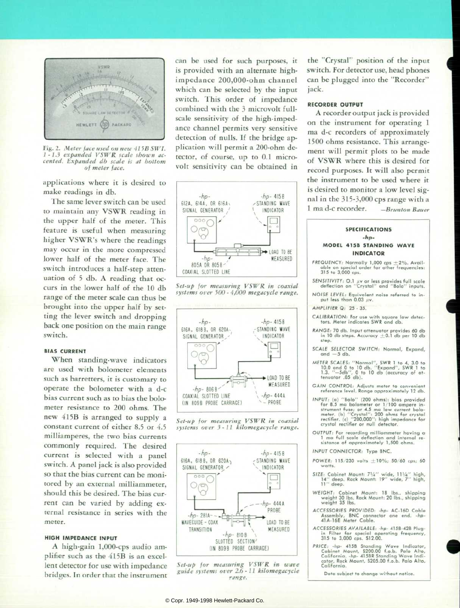

*Fig. 2. Meter face used on new 41 5B SWI. 1-1.3 expanded VSWR scale shown ac cented. Expanded db scale is at bottom of meter face.* 

applications where it is desired to make readings in db.

The same lever switch can be used to maintain any VSWR reading in the upper half of the meter. This feature is useful when measuring higher VSWR's where the readings may occur in the more compressed lower half of the meter face. The switch introduces a half-step atten uation of 5 db. A reading that oc curs in the lower half of the 10 db range of the meter scale can thus be brought into the upper half by set ting the lever switch and dropping back one position on the main range switch.

# **BIAS CURRENT**

When standing-wave indicators are used with bolometer elements such as barretters, it is customary to operate the bolometer with a d-c bias current such as to bias the bolo meter resistance to 200 ohms. The new 415B is arranged to supply a constant current of either 8.5 or 4.5 milliamperes, the two bias currents commonly required. The desired current is selected with a panel switch. A panel jack is also provided so that the bias current can be moni tored by an external milliammeter, should this be desired. The bias cur rent can be varied by adding ex ternal resistance in series with the meter.

# **HIGH IMPEDANCE INPUT**

A high-gain 1,000-cps audio am plifier such as the 415B is an excellent detector for use with impedance bridges. In order that the instrument can be used for such purposes, it is provided with an alternate highimpedance 200,000-ohm channel which can be selected by the input switch. This order of impedance combined with the 3 microvolt fullscale sensitivity of the high-imped ance channel permits very sensitive detection of nulls. If the bridge ap plication will permit a 200-ohm de tector, of course, up to 0.1 micro volt sensitivity can be obtained in













the "Crystal" position of the input switch. For detector use, head phones can be plugged into the "Recorder" jack.

# **RECORDER OUTPUT**

A recorder output jack is provided on the instrument for operating 1 ma d-c recorders of approximately 1500 ohms resistance. This arrange ment will permit plots to be made of VSWR where this is desired for record purposes. It will also permit the instrument to be used where it is desired to monitor a low level sig nal in the 315-3,000 cps range with a *1 ma d-c recorder. -Brunton Bauer* 

# **SPECIFICATIONS -lip-MODEL 415B STANDING WAVE**

- **INDICATOR**  FREQUENCY: Normally 1,000 cps +2%. Avail**able on special order for other frequencies: 315 to 3,000 cps.**
- **SENSITIVITY: O.I /iv or less provides full scale deflection on "Crystal" and "Bolo" inputs.**
- **NOISE LEVEL: Equivalent noise referred to in**  put less than  $0.03 \mu v$ .
- **AMPLIFIER Q: 25 35.**
- CALIBRATION: For use with square law detec**tors. Meter indicates SWR and db.**
- **RANGE: 70 db. Input attenuator provides 60 db in 10 db steps. Accuracy ±0.1 db per 10 db step.**
- SCALE SELECTOR SWITCH: Normal, Expand, **and — 5 db.**
- **METER SOUES: "Normal", SWR 1 to 4, 3.0 to 10.0 and 0 to 10 db. "Expand", SWR 1 to 1.3. "— 5db", 0 to 10 db (accuracy of at tenuator .05 db).**
- **GAIN CONTROL: Adjusts meter to convenient reference level. Range approximately 12 db.**
- INPUT: (a) "Bolo" (200 ohms); bias provided<br>for 8.5 ma bolometer or 1/100 amper in-<br>strument fuse; or 4.5 ma low current bolo-<br>meter. (b) "Crystal": 200 ohms for crystal<br>rectifier. (c) "C00,000": high impedance for<br>crystal
- **OUTPUT: For recording milliammeter having a 1 ma full scale deflection and internal re sistance of approximately 1,500 ohms.**
- INPUT CONNECTOR: Type BNC.
- **POWER: 115 230 volts ±10%; 50/60 cps; 60 watts.**
- SIZE: Cabinet Mount: 7½" wide, 11½" high,<br>14" deep. Rack Mount: 19" wide, 7" high, **11" deep.**
- **WEIGHT: Cabinet Mount: 18 Ibs., shipping weight 30 Ibs. Rack Mount: 20 Ibs., shipping weight 35 Ibs.**
- **ACCESSORIES PROVIDED: -hp- AC-16D Cable Assembly, BNC connector one end. -hp-41A-16E Meter Cable.**
- **ACCESSORIES AVAIIABIE: -hp- 415B-42B Plugin Filter for special operating frequency, 315 to 3,000 cps. \$12.00.**
- **PRICE: -hp- 415B Standing Wave Indicator, Cabinet Mount, \$200.00 f.o.b. Palo Alto, California, -hp- 415BR Standing Wave Indi cator, Rack Mount, \$205.00 f.o.b. Palo Alto, California.**

Data subject to change without notice.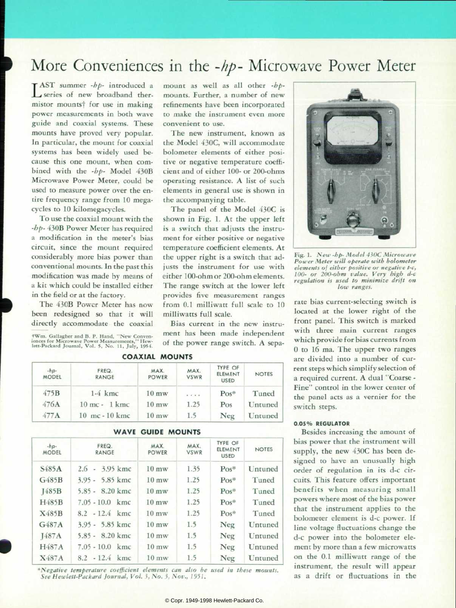# More Conveniences in the -hp- Microwave Power Meter

convenient to use.

the accompanying table.

milliwatts full scale.

temperature coefficient elements. At the upper right is a switch that ad justs the instrument for use with either 100-ohm or 200-ohm elements. The range switch at the lower left provides five measurement ranges from 0.1 milliwatt full scale to 10

Bias current in the new instru ment has been made independent of the power range switch. A sepa-

 $\mathbf{T}$  AST summer - $bp$ - introduced a series of new broadband thermistor mounts<sup>†</sup> for use in making power measurements in both wave guide and coaxial systems. These mounts have proved very popular. In particular, the mount for coaxial systems has been widely used be cause this one mount, when com bined with the -bp- Model 430B Microwave Power Meter, could be used to measure power over the en tire frequency range from 10 mega cycles to 10 kilomegacycles.

To use the coaxial mount with the -hp- 430B Power Meter has required a modification in the meter's bias circuit, since the mount required considerably more bias power than conventional mounts. In the past this modification was made by means of a kit which could be installed either in the field or at the factory.

The 430B Power Meter has now been redesigned so that it will directly accommodate the coaxial

tWm. Gallagher and B. P. Hand. "New Conven iences for Microwave Power Measurements," Hew lett-Packard Journal, Vol. 5, No. 11, July, 1954.

| <b>COAXIAL MOUNTS</b> |                                   |                      |                     |                                          |              |  |  |
|-----------------------|-----------------------------------|----------------------|---------------------|------------------------------------------|--------------|--|--|
| $-hp-$<br>MODEL       | FREQ.<br><b>RANGE</b>             | MAX.<br><b>POWER</b> | MAX.<br><b>VSWR</b> | <b>TYPE OF</b><br>ELEMENT<br><b>USED</b> | <b>NOTES</b> |  |  |
| 475B                  | $1-4$ kmc                         | $10 \text{ m}$ w     | $-1 - 1 - 1$        | $Pos*$                                   | Tuned        |  |  |
| 476A                  | $10$ mc - 1 kmc                   | $10 \text{ m}$ w     | 1.25                | Pos                                      | Untuned      |  |  |
| 477A                  | $10 \text{ mc} - 10 \text{ km}$ c | $10 \text{ m}$ w     | 1.5                 | Neg                                      | Untuned      |  |  |

|                        |                       | <b>WAVE GUIDE MOUNTS</b> |                     |                                   |                |
|------------------------|-----------------------|--------------------------|---------------------|-----------------------------------|----------------|
| $-hp+$<br><b>MODEL</b> | FREQ.<br><b>RANGE</b> | MAX.<br>POWER            | MAX.<br><b>VSWR</b> | TYPE OF<br>ELEMENT<br><b>USED</b> | <b>NOTES</b>   |
| S <sub>485</sub> A     | $2.6 - 3.95$ kmc      | $10 \text{ m}$ w         | 1.35                | $Pos^*$                           | Untuned        |
| G485B                  | $3.95 - 5.85$ kmc     | $10 \text{ m}$ w         | 1.25                | $Pos*$                            | Tuned          |
| J485B                  | $5.85 - 8.20$ kmc     | $10 \text{ m}$ w         | 1.25                | $Pos*$                            | Tuned          |
| H485B                  | $7.05 - 10.0$ kmc     | $10 \text{ m}$ w         | 1.25                | $Pos^*$                           | Tuned          |
| X485B                  | $8.2 - 12.4$ kmc      | $10 \text{ m}$ w         | 1.25                | $Pos*$                            | Tuned          |
| G <sub>487A</sub>      | $3.95 - 5.85$ kmc     | $10 \text{ mw}$          | 1.5                 | Neg                               | Untuned        |
| <b>J487A</b>           | $5.85 - 8.20$ kmc     | $10 \text{ m}$ w         | 1.5                 | Neg                               | Untuned        |
| H487A                  | $7.05 - 10.0$ kmc     | $10 \text{ m}$ w         | 1.5                 | Neg                               | Untuned        |
| X487A                  | $8.2 - 12.4$ kmc      | $10 \text{ mW}$          | 1.5                 | Neg                               | <b>Untuned</b> |

*\*Negative temperature coefficient elements can also be used in these mounts.*  See Hewlett-Packard Journal, Vol. 3, No. 3, Nov., 1951.



*Fig. 1. New -hp- Model 430C Microwave Power Meter will operate with bolometer elements of either positive or negative t-c, 100- or 200-ohm value. Very high d-c regulation is used to minimize drift on low ranges.* 

rate bias current-selecting switch is located at the lower right of the front panel. This switch is marked with three main current ranges which provide for bias currents from 0 to 16 ma. The upper two ranges are divided into a number of cur rent steps which simplify selection of a required current. A dual "Coarse - Fine" control in the lower center of the panel acts as a vernier for the switch steps.

# **0.05% REGULATOR**

Besides increasing the amount of bias power that the instrument will supply, the new 430C has been de signed to have an unusually high order of regulation in its d-c cir cuits. This feature offers important benefits when measuring small powers where most of the bias power that the instrument applies to the bolometer element is d-c power. If line voltage fluctuations change the d-c power into the bolometer ele ment by more than a few microwatts on the 0.1 milliwatt range of the instrument, the result will appear as a drift or fluctuations in the